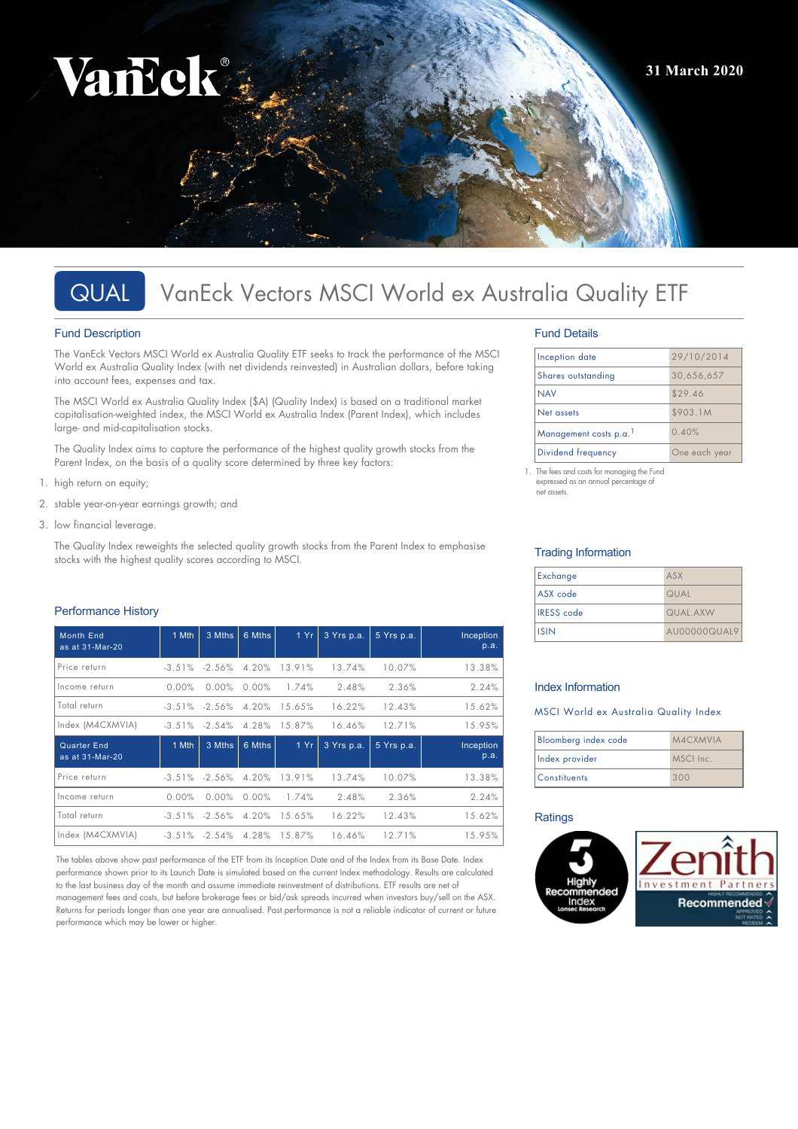# Vancok **31 March 2020**

# QUAL VanEck Vectors MSCI World ex Australia Quality ETF

# Fund Description

The VanEck Vectors MSCI World ex Australia Quality ETF seeks to track the performance of the MSCI World ex Australia Quality Index (with net dividends reinvested) in Australian dollars, before taking into account fees, expenses and tax.

The MSCI World ex Australia Quality Index (\$A) (Quality Index) is based on a traditional market capitalisation-weighted index, the MSCI World ex Australia Index (Parent Index), which includes large- and mid-capitalisation stocks.

The Quality Index aims to capture the performance of the highest quality growth stocks from the Parent Index, on the basis of a quality score determined by three key factors:

- 1. high return on equity;
- 2. stable year-on-year earnings growth; and
- 3. low financial leverage.

The Quality Index reweights the selected quality growth stocks from the Parent Index to emphasise stocks with the highest quality scores according to MSCI.

# Performance History

| <b>Month End</b><br>as at 31-Mar-20 | 1 Mth             | 3 Mths            | 6 Mths   | 1 Yr   | 3 Yrs p.a. | 5 Yrs p.a. | Inception<br>p.a. |
|-------------------------------------|-------------------|-------------------|----------|--------|------------|------------|-------------------|
| Price return                        |                   | $-3.51\% -2.56\%$ | 4.20%    | 13.91% | 13.74%     | 10.07%     | 13.38%            |
| Income return                       | 0.00%             | 0.00%             | 0.00%    | 1.74%  | 2.48%      | 2.36%      | 2.24%             |
| Total return                        |                   | $-3.51\% -2.56\%$ | 4.20%    | 15.65% | 16.22%     | 12.43%     | 15.62%            |
| Index (M4CXMVIA)                    |                   | $-3.51\% -2.54\%$ | 4.28%    | 15.87% | 16.46%     | 12.71%     | 15.95%            |
| Quarter End<br>as at 31-Mar-20      | 1 Mth             | 3 Mths            | 6 Mths   | 1 Yr   | 3 Yrs p.a. | 5 Yrs p.a. | Inception<br>p.a. |
| Price return                        |                   | $-3.51\% -2.56\%$ | 4.20%    | 13.91% | 13.74%     | 10.07%     | 13.38%            |
| Income return                       | $0.00\%$          | 0.00%             | $0.00\%$ | 1.74%  | 2.48%      | 2.36%      | 2.24%             |
| Total return                        |                   | $-3.51\% -2.56\%$ | 4.20%    | 15.65% | 16.22%     | 12.43%     | 15.62%            |
| Index (M4CXMVIA)                    | $-3.51\% -2.54\%$ |                   | 4.28%    | 15.87% | 16.46%     | 12.71%     | 15.95%            |

The tables above show past performance of the ETF from its Inception Date and of the Index from its Base Date. Index performance shown prior to its Launch Date is simulated based on the current Index methodology. Results are calculated to the last business day of the month and assume immediate reinvestment of distributions. ETF results are net of management fees and costs, but before brokerage fees or bid/ask spreads incurred when investors buy/sell on the ASX. Returns for periods longer than one year are annualised. Past performance is not a reliable indicator of current or future performance which may be lower or higher.

# Fund Details

| Inception date        | 29/10/2014    |  |
|-----------------------|---------------|--|
| Shares outstanding    | 30,656,657    |  |
| <b>NAV</b>            | \$29.46       |  |
| Net assets            | \$903.1M      |  |
| Management costs p.a. | 0.40%         |  |
| Dividend frequency    | One each year |  |

1. The fees and costs for managing the Fund expressed as an annual percentage of net assets.

# Trading Information

| Exchange          | ASX          |
|-------------------|--------------|
| ASX code          | QUAL         |
| <b>IRESS</b> code | QUAL AXW     |
| <b>I</b> ISIN     | AU00000QUAL9 |

# Index Information

# MSCI World ex Australia Quality Index

| Bloomberg index code | M4CXMVIA  |  |
|----------------------|-----------|--|
| Index provider       | MSCI Inc. |  |
| <b>Constituents</b>  | 300       |  |

# **Ratings**